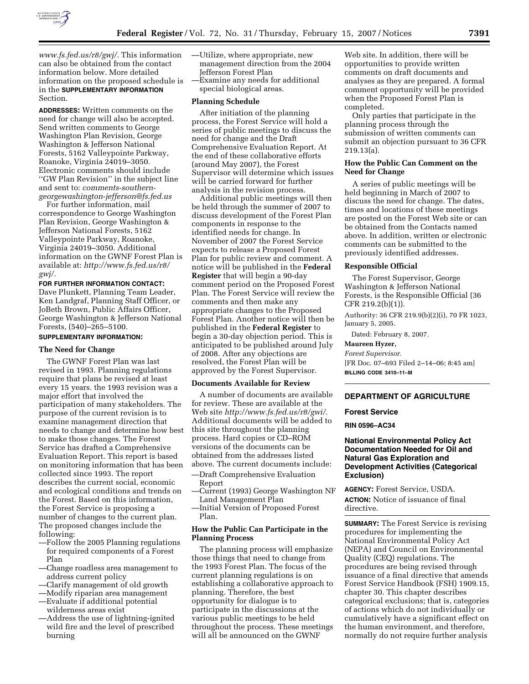

*www.fs.fed.us/r8/gwj/.* This information can also be obtained from the contact information below. More detailed information on the proposed schedule is in the **SUPPLEMENTARY INFORMATION** Section.

**ADDRESSES:** Written comments on the need for change will also be accepted. Send written comments to George Washington Plan Revision, George Washington & Jefferson National Forests, 5162 Valleypointe Parkway, Roanoke, Virginia 24019–3050. Electronic comments should include ''GW Plan Revision'' in the subject line and sent to: *comments-southerngeorgewashington-jefferson@fs.fed.us* 

For further information, mail correspondence to George Washington Plan Revision, George Washington & Jefferson National Forests, 5162 Valleypointe Parkway, Roanoke, Virginia 24019–3050. Additional information on the GWNF Forest Plan is available at: *http://www.fs.fed.us/r8/ gwj/.* 

**FOR FURTHER INFORMATION CONTACT:**  Dave Plunkett, Planning Team Leader, Ken Landgraf, Planning Staff Officer, or JoBeth Brown, Public Affairs Officer, George Washington & Jefferson National Forests, (540)–265–5100.

# **SUPPLEMENTARY INFORMATION:**

# **The Need for Change**

The GWNF Forest Plan was last revised in 1993. Planning regulations require that plans be revised at least every 15 years. the 1993 revision was a major effort that involved the participation of many stakeholders. The purpose of the current revision is to examine management direction that needs to change and determine how best to make those changes. The Forest Service has drafted a Comprehensive Evaluation Report. This report is based on monitoring information that has been collected since 1993. The report describes the current social, economic and ecological conditions and trends on the Forest. Based on this information, the Forest Service is proposing a number of changes to the current plan. The proposed changes include the following:

- —Follow the 2005 Planning regulations for required components of a Forest Plan
- —Change roadless area management to address current policy
- —Clarify management of old growth
- —Modify riparian area management
- —Evaluate if additional potential wilderness areas exist
- —Address the use of lightning-ignited wild fire and the level of prescribed burning
- —Utilize, where appropriate, new management direction from the 2004 Jefferson Forest Plan —Examine any needs for additional
- special biological areas.

#### **Planning Schedule**

After initiation of the planning process, the Forest Service will hold a series of public meetings to discuss the need for change and the Draft Comprehensive Evaluation Report. At the end of these collaborative efforts (around May 2007), the Forest Supervisor will determine which issues will be carried forward for further analysis in the revision process.

Additional public meetings will then be held through the summer of 2007 to discuss development of the Forest Plan components in response to the identified needs for change. In November of 2007 the Forest Service expects to release a Proposed Forest Plan for public review and comment. A notice will be published in the **Federal Register** that will begin a 90-day comment period on the Proposed Forest Plan. The Forest Service will review the comments and then make any appropriate changes to the Proposed Forest Plan. Another notice will then be published in the **Federal Register** to begin a 30-day objection period. This is anticipated to be published around July of 2008. After any objections are resolved, the Forest Plan will be approved by the Forest Supervisor.

## **Documents Available for Review**

A number of documents are available for review. These are available at the Web site *http://www.fs.fed.us/r8/gwi/.*  Additional documents will be added to this site throughout the planning process. Hard copies or CD–ROM versions of the documents can be obtained from the addresses listed above. The current documents include: —Draft Comprehensive Evaluation

Report —Current (1993) George Washington NF

- Land Management Plan
- —Initial Version of Proposed Forest Plan.

# **How the Public Can Participate in the Planning Process**

The planning process will emphasize those things that need to change from the 1993 Forest Plan. The focus of the current planning regulations is on establishing a collaborative approach to planning. Therefore, the best opportunity for dialogue is to participate in the discussions at the various public meetings to be held throughout the process. These meetings will all be announced on the GWNF

Web site. In addition, there will be opportunities to provide written comments on draft documents and analyses as they are prepared. A formal comment opportunity will be provided when the Proposed Forest Plan is completed.

Only parties that participate in the planning process through the submission of written comments can submit an objection pursuant to 36 CFR 219.13(a).

#### **How the Public Can Comment on the Need for Change**

A series of public meetings will be held beginning in March of 2007 to discuss the need for change. The dates, times and locations of these meetings are posted on the Forest Web site or can be obtained from the Contacts named above. In addition, written or electronic comments can be submitted to the previously identified addresses.

#### **Responsible Official**

The Forest Supervisor, George Washington & Jefferson National Forests, is the Responsible Official (36 CFR 219.2(b)(1)).

Authority: 36 CFR 219.9(b)(2)(i), 70 FR 1023, January 5, 2005.

Dated: February 8, 2007.

**Maureen Hyzer,** 

*Forest Supervisor.*  [FR Doc. 07–693 Filed 2–14–06; 8:45 am] **BILLING CODE 3410–11–M** 

### **DEPARTMENT OF AGRICULTURE**

#### **Forest Service**

**RIN 0596–AC34** 

## **National Environmental Policy Act Documentation Needed for Oil and Natural Gas Exploration and Development Activities (Categorical Exclusion)**

**AGENCY:** Forest Service, USDA. **ACTION:** Notice of issuance of final directive.

**SUMMARY:** The Forest Service is revising procedures for implementing the National Environmental Policy Act (NEPA) and Council on Environmental Quality (CEQ) regulations. The procedures are being revised through issuance of a final directive that amends Forest Service Handbook (FSH) 1909.15, chapter 30. This chapter describes categorical exclusions; that is, categories of actions which do not individually or cumulatively have a significant effect on the human environment, and therefore, normally do not require further analysis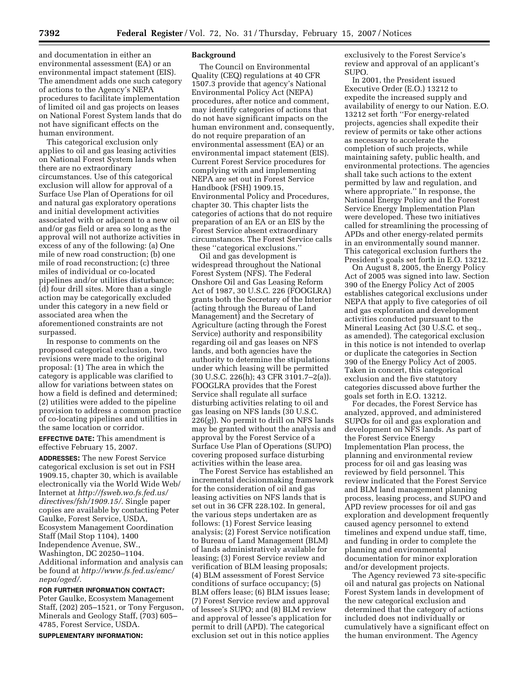and documentation in either an environmental assessment (EA) or an environmental impact statement (EIS). The amendment adds one such category of actions to the Agency's NEPA procedures to facilitate implementation of limited oil and gas projects on leases on National Forest System lands that do not have significant effects on the human environment.

This categorical exclusion only applies to oil and gas leasing activities on National Forest System lands when there are no extraordinary circumstances. Use of this categorical exclusion will allow for approval of a Surface Use Plan of Operations for oil and natural gas exploratory operations and initial development activities associated with or adjacent to a new oil and/or gas field or area so long as the approval will not authorize activities in excess of any of the following: (a) One mile of new road construction; (b) one mile of road reconstruction; (c) three miles of individual or co-located pipelines and/or utilities disturbance; (d) four drill sites. More than a single action may be categorically excluded under this category in a new field or associated area when the aforementioned constraints are not surpassed.

In response to comments on the proposed categorical exclusion, two revisions were made to the original proposal: (1) The area in which the category is applicable was clarified to allow for variations between states on how a field is defined and determined; (2) utilities were added to the pipeline provision to address a common practice of co-locating pipelines and utilities in the same location or corridor.

**EFFECTIVE DATE:** This amendment is effective February 15, 2007.

**ADDRESSES:** The new Forest Service categorical exclusion is set out in FSH 1909.15, chapter 30, which is available electronically via the World Wide Web/ Internet at *http://fsweb.wo.fs.fed.us/ directives/fsh/1909.15/*. Single paper copies are available by contacting Peter Gaulke, Forest Service, USDA, Ecosystem Management Coordination Staff (Mail Stop 1104), 1400 Independence Avenue, SW., Washington, DC 20250–1104. Additional information and analysis can be found at *http://www.fs.fed.us/emc/ nepa/oged/*.

**FOR FURTHER INFORMATION CONTACT:**  Peter Gaulke, Ecosystem Management Staff, (202) 205–1521, or Tony Ferguson, Minerals and Geology Staff, (703) 605– 4785, Forest Service, USDA.

#### **SUPPLEMENTARY INFORMATION:**

#### **Background**

The Council on Environmental Quality (CEQ) regulations at 40 CFR 1507.3 provide that agency's National Environmental Policy Act (NEPA) procedures, after notice and comment, may identify categories of actions that do not have significant impacts on the human environment and, consequently, do not require preparation of an environmental assessment (EA) or an environmental impact statement (EIS). Current Forest Service procedures for complying with and implementing NEPA are set out in Forest Service Handbook (FSH) 1909.15, Environmental Policy and Procedures, chapter 30. This chapter lists the categories of actions that do not require preparation of an EA or an EIS by the Forest Service absent extraordinary circumstances. The Forest Service calls these ''categorical exclusions.''

Oil and gas development is widespread throughout the National Forest System (NFS). The Federal Onshore Oil and Gas Leasing Reform Act of 1987, 30 U.S.C. 226 (FOOGLRA) grants both the Secretary of the Interior (acting through the Bureau of Land Management) and the Secretary of Agriculture (acting through the Forest Service) authority and responsibility regarding oil and gas leases on NFS lands, and both agencies have the authority to determine the stipulations under which leasing will be permitted (30 U.S.C. 226(h); 43 CFR 3101.7–2(a)). FOOGLRA provides that the Forest Service shall regulate all surface disturbing activities relating to oil and gas leasing on NFS lands (30 U.S.C. 226(g)). No permit to drill on NFS lands may be granted without the analysis and approval by the Forest Service of a Surface Use Plan of Operations (SUPO) covering proposed surface disturbing activities within the lease area.

The Forest Service has established an incremental decisionmaking framework for the consideration of oil and gas leasing activities on NFS lands that is set out in 36 CFR 228.102. In general, the various steps undertaken are as follows: (1) Forest Service leasing analysis; (2) Forest Service notification to Bureau of Land Management (BLM) of lands administratively available for leasing; (3) Forest Service review and verification of BLM leasing proposals; (4) BLM assessment of Forest Service conditions of surface occupancy; (5) BLM offers lease; (6) BLM issues lease; (7) Forest Service review and approval of lessee's SUPO; and (8) BLM review and approval of lessee's application for permit to drill (APD). The categorical exclusion set out in this notice applies

exclusively to the Forest Service's review and approval of an applicant's SUPO.

In 2001, the President issued Executive Order (E.O.) 13212 to expedite the increased supply and availability of energy to our Nation. E.O. 13212 set forth ''For energy-related projects, agencies shall expedite their review of permits or take other actions as necessary to accelerate the completion of such projects, while maintaining safety, public health, and environmental protections. The agencies shall take such actions to the extent permitted by law and regulation, and where appropriate.'' In response, the National Energy Policy and the Forest Service Energy Implementation Plan were developed. These two initiatives called for streamlining the processing of APDs and other energy-related permits in an environmentally sound manner. This categorical exclusion furthers the President's goals set forth in E.O. 13212.

On August 8, 2005, the Energy Policy Act of 2005 was signed into law. Section 390 of the Energy Policy Act of 2005 establishes categorical exclusions under NEPA that apply to five categories of oil and gas exploration and development activities conducted pursuant to the Mineral Leasing Act (30 U.S.C. et seq., as amended). The categorical exclusion in this notice is not intended to overlap or duplicate the categories in Section 390 of the Energy Policy Act of 2005. Taken in concert, this categorical exclusion and the five statutory categories discussed above further the goals set forth in E.O. 13212.

For decades, the Forest Service has analyzed, approved, and administered SUPOs for oil and gas exploration and development on NFS lands. As part of the Forest Service Energy Implementation Plan process, the planning and environmental review process for oil and gas leasing was reviewed by field personnel. This review indicated that the Forest Service and BLM land management planning process, leasing process, and SUPO and APD review processes for oil and gas exploration and development frequently caused agency personnel to extend timelines and expend undue staff, time, and funding in order to complete the planning and environmental documentation for minor exploration and/or development projects.

The Agency reviewed 73 site-specific oil and natural gas projects on National Forest System lands in development of the new categorical exclusion and determined that the category of actions included does not individually or cumulatively have a significant effect on the human environment. The Agency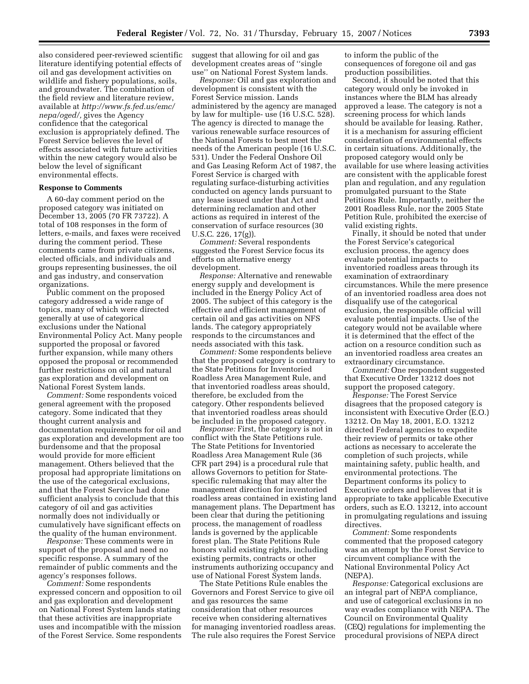also considered peer-reviewed scientific literature identifying potential effects of oil and gas development activities on wildlife and fishery populations, soils, and groundwater. The combination of the field review and literature review, available at *http://www.fs.fed.us/emc/ nepa/oged/,* gives the Agency confidence that the categorical exclusion is appropriately defined. The Forest Service believes the level of effects associated with future activities within the new category would also be below the level of significant environmental effects.

#### **Response to Comments**

A 60-day comment period on the proposed category was initiated on December 13, 2005 (70 FR 73722). A total of 108 responses in the form of letters, e-mails, and faxes were received during the comment period. These comments came from private citizens, elected officials, and individuals and groups representing businesses, the oil and gas industry, and conservation organizations.

Public comment on the proposed category addressed a wide range of topics, many of which were directed generally at use of categorical exclusions under the National Environmental Policy Act. Many people supported the proposal or favored further expansion, while many others opposed the proposal or recommended further restrictions on oil and natural gas exploration and development on National Forest System lands.

*Comment:* Some respondents voiced general agreement with the proposed category. Some indicated that they thought current analysis and documentation requirements for oil and gas exploration and development are too burdensome and that the proposal would provide for more efficient management. Others believed that the proposal had appropriate limitations on the use of the categorical exclusions, and that the Forest Service had done sufficient analysis to conclude that this category of oil and gas activities normally does not individually or cumulatively have significant effects on the quality of the human environment.

*Response:* These comments were in support of the proposal and need no specific response. A summary of the remainder of public comments and the agency's responses follows.

*Comment:* Some respondents expressed concern and opposition to oil and gas exploration and development on National Forest System lands stating that these activities are inappropriate uses and incompatible with the mission of the Forest Service. Some respondents suggest that allowing for oil and gas development creates areas of ''single use'' on National Forest System lands.

*Response:* Oil and gas exploration and development is consistent with the Forest Service mission. Lands administered by the agency are managed by law for multiple- use (16 U.S.C. 528). The agency is directed to manage the various renewable surface resources of the National Forests to best meet the needs of the American people (16 U.S.C. 531). Under the Federal Onshore Oil and Gas Leasing Reform Act of 1987, the Forest Service is charged with regulating surface-disturbing activities conducted on agency lands pursuant to any lease issued under that Act and determining reclamation and other actions as required in interest of the conservation of surface resources (30 U.S.C. 226, 17(g)).

*Comment:* Several respondents suggested the Forest Service focus its efforts on alternative energy development.

*Response:* Alternative and renewable energy supply and development is included in the Energy Policy Act of 2005. The subject of this category is the effective and efficient management of certain oil and gas activities on NFS lands. The category appropriately responds to the circumstances and needs associated with this task.

*Comment:* Some respondents believe that the proposed category is contrary to the State Petitions for Inventoried Roadless Area Management Rule, and that inventoried roadless areas should, therefore, be excluded from the category. Other respondents believed that inventoried roadless areas should be included in the proposed category.

*Response:* First, the category is not in conflict with the State Petitions rule. The State Petitions for Inventoried Roadless Area Management Rule (36 CFR part 294) is a procedural rule that allows Governors to petition for Statespecific rulemaking that may alter the management direction for inventoried roadless areas contained in existing land management plans. The Department has been clear that during the petitioning process, the management of roadless lands is governed by the applicable forest plan. The State Petitions Rule honors valid existing rights, including existing permits, contracts or other instruments authorizing occupancy and use of National Forest System lands.

The State Petitions Rule enables the Governors and Forest Service to give oil and gas resources the same consideration that other resources receive when considering alternatives for managing inventoried roadless areas. The rule also requires the Forest Service to inform the public of the consequences of foregone oil and gas production possibilities.

Second, it should be noted that this category would only be invoked in instances where the BLM has already approved a lease. The category is not a screening process for which lands should be available for leasing. Rather, it is a mechanism for assuring efficient consideration of environmental effects in certain situations. Additionally, the proposed category would only be available for use where leasing activities are consistent with the applicable forest plan and regulation, and any regulation promulgated pursuant to the State Petitions Rule. Importantly, neither the 2001 Roadless Rule, nor the 2005 State Petition Rule, prohibited the exercise of valid existing rights.

Finally, it should be noted that under the Forest Service's categorical exclusion process, the agency does evaluate potential impacts to inventoried roadless areas through its examination of extraordinary circumstances. While the mere presence of an inventoried roadless area does not disqualify use of the categorical exclusion, the responsible official will evaluate potential impacts. Use of the category would not be available where it is determined that the effect of the action on a resource condition such as an inventoried roadless area creates an extraordinary circumstance.

*Comment:* One respondent suggested that Executive Order 13212 does not support the proposed category.

*Response:* The Forest Service disagrees that the proposed category is inconsistent with Executive Order (E.O.) 13212. On May 18, 2001, E.O. 13212 directed Federal agencies to expedite their review of permits or take other actions as necessary to accelerate the completion of such projects, while maintaining safety, public health, and environmental protections. The Department conforms its policy to Executive orders and believes that it is appropriate to take applicable Executive orders, such as E.O. 13212, into account in promulgating regulations and issuing directives.

*Comment:* Some respondents commented that the proposed category was an attempt by the Forest Service to circumvent compliance with the National Environmental Policy Act (NEPA).

*Response:* Categorical exclusions are an integral part of NEPA compliance, and use of categorical exclusions in no way evades compliance with NEPA. The Council on Environmental Quality (CEQ) regulations for implementing the procedural provisions of NEPA direct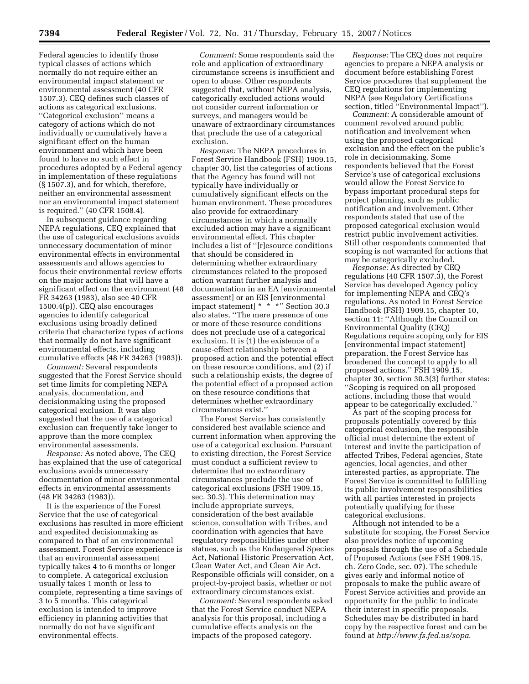Federal agencies to identify those typical classes of actions which normally do not require either an environmental impact statement or environmental assessment (40 CFR 1507.3). CEQ defines such classes of actions as categorical exclusions. ''Categorical exclusion'' means a category of actions which do not individually or cumulatively have a significant effect on the human environment and which have been found to have no such effect in procedures adopted by a Federal agency in implementation of these regulations (§ 1507.3), and for which, therefore, neither an environmental assessment nor an environmental impact statement is required.'' (40 CFR 1508.4).

In subsequent guidance regarding NEPA regulations, CEQ explained that the use of categorical exclusions avoids unnecessary documentation of minor environmental effects in environmental assessments and allows agencies to focus their environmental review efforts on the major actions that will have a significant effect on the environment (48 FR 34263 (1983), also see 40 CFR 1500.4(p)). CEQ also encourages agencies to identify categorical exclusions using broadly defined criteria that characterize types of actions that normally do not have significant environmental effects, including cumulative effects (48 FR 34263 (1983)).

*Comment:* Several respondents suggested that the Forest Service should set time limits for completing NEPA analysis, documentation, and decisionmaking using the proposed categorical exclusion. It was also suggested that the use of a categorical exclusion can frequently take longer to approve than the more complex environmental assessments.

*Response:* As noted above, The CEQ has explained that the use of categorical exclusions avoids unnecessary documentation of minor environmental effects in environmental assessments (48 FR 34263 (1983)).

It is the experience of the Forest Service that the use of categorical exclusions has resulted in more efficient and expedited decisionmaking as compared to that of an environmental assessment. Forest Service experience is that an environmental assessment typically takes 4 to 6 months or longer to complete. A categorical exclusion usually takes 1 month or less to complete, representing a time savings of 3 to 5 months. This categorical exclusion is intended to improve efficiency in planning activities that normally do not have significant environmental effects.

*Comment:* Some respondents said the role and application of extraordinary circumstance screens is insufficient and open to abuse. Other respondents suggested that, without NEPA analysis, categorically excluded actions would not consider current information or surveys, and managers would be unaware of extraordinary circumstances that preclude the use of a categorical exclusion.

*Response:* The NEPA procedures in Forest Service Handbook (FSH) 1909.15, chapter 30, list the categories of actions that the Agency has found will not typically have individually or cumulatively significant effects on the human environment. These procedures also provide for extraordinary circumstances in which a normally excluded action may have a significant environmental effect. This chapter includes a list of ''[r]esource conditions that should be considered in determining whether extraordinary circumstances related to the proposed action warrant further analysis and documentation in an EA [environmental assessment] or an EIS [environmental impact statement] \* \* \*'' Section 30.3 also states, ''The mere presence of one or more of these resource conditions does not preclude use of a categorical exclusion. It is (1) the existence of a cause-effect relationship between a proposed action and the potential effect on these resource conditions, and (2) if such a relationship exists, the degree of the potential effect of a proposed action on these resource conditions that determines whether extraordinary circumstances exist.''

The Forest Service has consistently considered best available science and current information when approving the use of a categorical exclusion. Pursuant to existing direction, the Forest Service must conduct a sufficient review to determine that no extraordinary circumstances preclude the use of categorical exclusions (FSH 1909.15, sec. 30.3). This determination may include appropriate surveys, consideration of the best available science, consultation with Tribes, and coordination with agencies that have regulatory responsibilities under other statues, such as the Endangered Species Act, National Historic Preservation Act, Clean Water Act, and Clean Air Act. Responsible officials will consider, on a project-by-project basis, whether or not extraordinary circumstances exist.

*Comment:* Several respondents asked that the Forest Service conduct NEPA analysis for this proposal, including a cumulative effects analysis on the impacts of the proposed category.

*Response:* The CEQ does not require agencies to prepare a NEPA analysis or document before establishing Forest Service procedures that supplement the CEQ regulations for implementing NEPA (see Regulatory Certifications section, titled ''Environmental Impact'').

*Comment:* A considerable amount of comment revolved around public notification and involvement when using the proposed categorical exclusion and the effect on the public's role in decisionmaking. Some respondents believed that the Forest Service's use of categorical exclusions would allow the Forest Service to bypass important procedural steps for project planning, such as public notification and involvement. Other respondents stated that use of the proposed categorical exclusion would restrict public involvement activities. Still other respondents commented that scoping is not warranted for actions that may be categorically excluded.

*Response:* As directed by CEQ regulations (40 CFR 1507.3), the Forest Service has developed Agency policy for implementing NEPA and CEQ's regulations. As noted in Forest Service Handbook (FSH) 1909.15, chapter 10, section 11: ''Although the Council on Environmental Quality (CEQ) Regulations require scoping only for EIS [environmental impact statement] preparation, the Forest Service has broadened the concept to apply to all proposed actions.'' FSH 1909.15, chapter 30, section 30.3(3) further states: ''Scoping is required on all proposed actions, including those that would appear to be categorically excluded.''

As part of the scoping process for proposals potentially covered by this categorical exclusion, the responsible official must determine the extent of interest and invite the participation of affected Tribes, Federal agencies, State agencies, local agencies, and other interested parties, as appropriate. The Forest Service is committed to fulfilling its public involvement responsibilities with all parties interested in projects potentially qualifying for these categorical exclusions.

Although not intended to be a substitute for scoping, the Forest Service also provides notice of upcoming proposals through the use of a Schedule of Proposed Actions (see FSH 1909.15, ch. Zero Code, sec. 07). The schedule gives early and informal notice of proposals to make the public aware of Forest Service activities and provide an opportunity for the public to indicate their interest in specific proposals. Schedules may be distributed in hard copy by the respective forest and can be found at *http://www.fs.fed.us/sopa*.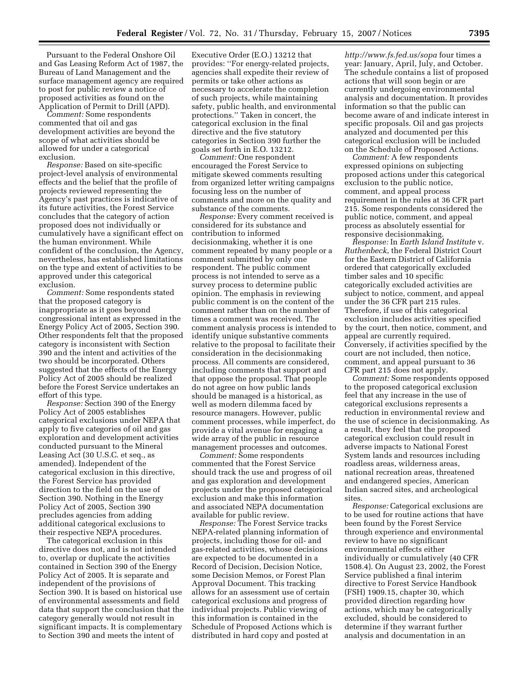Pursuant to the Federal Onshore Oil and Gas Leasing Reform Act of 1987, the Bureau of Land Management and the surface management agency are required to post for public review a notice of proposed activities as found on the Application of Permit to Drill (APD).

*Comment:* Some respondents commented that oil and gas development activities are beyond the scope of what activities should be allowed for under a categorical exclusion.

*Response:* Based on site-specific project-level analysis of environmental effects and the belief that the profile of projects reviewed representing the Agency's past practices is indicative of its future activities, the Forest Service concludes that the category of action proposed does not individually or cumulatively have a significant effect on the human environment. While confident of the conclusion, the Agency, nevertheless, has established limitations on the type and extent of activities to be approved under this categorical exclusion.

*Comment:* Some respondents stated that the proposed category is inappropriate as it goes beyond congressional intent as expressed in the Energy Policy Act of 2005, Section 390. Other respondents felt that the proposed category is inconsistent with Section 390 and the intent and activities of the two should be incorporated. Others suggested that the effects of the Energy Policy Act of 2005 should be realized before the Forest Service undertakes an effort of this type.

*Response:* Section 390 of the Energy Policy Act of 2005 establishes categorical exclusions under NEPA that apply to five categories of oil and gas exploration and development activities conducted pursuant to the Mineral Leasing Act (30 U.S.C. et seq., as amended). Independent of the categorical exclusion in this directive, the Forest Service has provided direction to the field on the use of Section 390. Nothing in the Energy Policy Act of 2005, Section 390 precludes agencies from adding additional categorical exclusions to their respective NEPA procedures.

The categorical exclusion in this directive does not, and is not intended to, overlap or duplicate the activities contained in Section 390 of the Energy Policy Act of 2005. It is separate and independent of the provisions of Section 390. It is based on historical use of environmental assessments and field data that support the conclusion that the category generally would not result in significant impacts. It is complementary to Section 390 and meets the intent of

Executive Order (E.O.) 13212 that provides: ''For energy-related projects, agencies shall expedite their review of permits or take other actions as necessary to accelerate the completion of such projects, while maintaining safety, public health, and environmental protections.'' Taken in concert, the categorical exclusion in the final directive and the five statutory categories in Section 390 further the goals set forth in E.O. 13212.

*Comment:* One respondent encouraged the Forest Service to mitigate skewed comments resulting from organized letter writing campaigns focusing less on the number of comments and more on the quality and substance of the comments.

*Response:* Every comment received is considered for its substance and contribution to informed decisionmaking, whether it is one comment repeated by many people or a comment submitted by only one respondent. The public comment process is not intended to serve as a survey process to determine public opinion. The emphasis in reviewing public comment is on the content of the comment rather than on the number of times a comment was received. The comment analysis process is intended to identify unique substantive comments relative to the proposal to facilitate their consideration in the decisionmaking process. All comments are considered, including comments that support and that oppose the proposal. That people do not agree on how public lands should be managed is a historical, as well as modern dilemma faced by resource managers. However, public comment processes, while imperfect, do provide a vital avenue for engaging a wide array of the public in resource management processes and outcomes.

*Comment:* Some respondents commented that the Forest Service should track the use and progress of oil and gas exploration and development projects under the proposed categorical exclusion and make this information and associated NEPA documentation available for public review.

*Response:* The Forest Service tracks NEPA-related planning information of projects, including those for oil- and gas-related activities, whose decisions are expected to be documented in a Record of Decision, Decision Notice, some Decision Memos, or Forest Plan Approval Document. This tracking allows for an assessment use of certain categorical exclusions and progress of individual projects. Public viewing of this information is contained in the Schedule of Proposed Actions which is distributed in hard copy and posted at

*http://www.fs.fed.us/sopa* four times a year: January, April, July, and October. The schedule contains a list of proposed actions that will soon begin or are currently undergoing environmental analysis and documentation. It provides information so that the public can become aware of and indicate interest in specific proposals. Oil and gas projects analyzed and documented per this categorical exclusion will be included on the Schedule of Proposed Actions.

*Comment:* A few respondents expressed opinions on subjecting proposed actions under this categorical exclusion to the public notice, comment, and appeal process requirement in the rules at 36 CFR part 215. Some respondents considered the public notice, comment, and appeal process as absolutely essential for responsive decisionmaking.

*Response:* In *Earth Island Institute* v. *Ruthenbeck*, the Federal District Court for the Eastern District of California ordered that categorically excluded timber sales and 10 specific categorically excluded activities are subject to notice, comment, and appeal under the 36 CFR part 215 rules. Therefore, if use of this categorical exclusion includes activities specified by the court, then notice, comment, and appeal are currently required. Conversely, if activities specified by the court are not included, then notice, comment, and appeal pursuant to 36 CFR part 215 does not apply.

*Comment:* Some respondents opposed to the proposed categorical exclusion feel that any increase in the use of categorical exclusions represents a reduction in environmental review and the use of science in decisionmaking. As a result, they feel that the proposed categorical exclusion could result in adverse impacts to National Forest System lands and resources including roadless areas, wilderness areas, national recreation areas, threatened and endangered species, American Indian sacred sites, and archeological sites.

*Response:* Categorical exclusions are to be used for routine actions that have been found by the Forest Service through experience and environmental review to have no significant environmental effects either individually or cumulatively (40 CFR 1508.4). On August 23, 2002, the Forest Service published a final interim directive to Forest Service Handbook (FSH) 1909.15, chapter 30, which provided direction regarding how actions, which may be categorically excluded, should be considered to determine if they warrant further analysis and documentation in an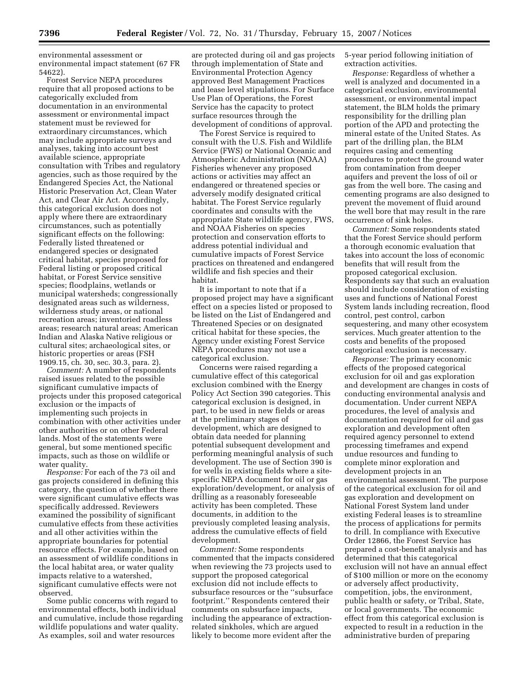environmental assessment or environmental impact statement (67 FR 54622).

Forest Service NEPA procedures require that all proposed actions to be categorically excluded from documentation in an environmental assessment or environmental impact statement must be reviewed for extraordinary circumstances, which may include appropriate surveys and analyses, taking into account best available science, appropriate consultation with Tribes and regulatory agencies, such as those required by the Endangered Species Act, the National Historic Preservation Act, Clean Water Act, and Clear Air Act. Accordingly, this categorical exclusion does not apply where there are extraordinary circumstances, such as potentially significant effects on the following: Federally listed threatened or endangered species or designated critical habitat, species proposed for Federal listing or proposed critical habitat, or Forest Service sensitive species; floodplains, wetlands or municipal watersheds; congressionally designated areas such as wilderness, wilderness study areas, or national recreation areas; inventoried roadless areas; research natural areas; American Indian and Alaska Native religious or cultural sites; archaeological sites, or historic properties or areas (FSH 1909.15, ch. 30, sec. 30.3, para. 2).

*Comment:* A number of respondents raised issues related to the possible significant cumulative impacts of projects under this proposed categorical exclusion or the impacts of implementing such projects in combination with other activities under other authorities or on other Federal lands. Most of the statements were general, but some mentioned specific impacts, such as those on wildlife or water quality.

*Response:* For each of the 73 oil and gas projects considered in defining this category, the question of whether there were significant cumulative effects was specifically addressed. Reviewers examined the possibility of significant cumulative effects from these activities and all other activities within the appropriate boundaries for potential resource effects. For example, based on an assessment of wildlife conditions in the local habitat area, or water quality impacts relative to a watershed, significant cumulative effects were not observed.

Some public concerns with regard to environmental effects, both individual and cumulative, include those regarding wildlife populations and water quality. As examples, soil and water resources

are protected during oil and gas projects through implementation of State and Environmental Protection Agency approved Best Management Practices and lease level stipulations. For Surface Use Plan of Operations, the Forest Service has the capacity to protect surface resources through the development of conditions of approval.

The Forest Service is required to consult with the U.S. Fish and Wildlife Service (FWS) or National Oceanic and Atmospheric Administration (NOAA) Fisheries whenever any proposed actions or activities may affect an endangered or threatened species or adversely modify designated critical habitat. The Forest Service regularly coordinates and consults with the appropriate State wildlife agency, FWS, and NOAA Fisheries on species protection and conservation efforts to address potential individual and cumulative impacts of Forest Service practices on threatened and endangered wildlife and fish species and their habitat.

It is important to note that if a proposed project may have a significant effect on a species listed or proposed to be listed on the List of Endangered and Threatened Species or on designated critical habitat for these species, the Agency under existing Forest Service NEPA procedures may not use a categorical exclusion.

Concerns were raised regarding a cumulative effect of this categorical exclusion combined with the Energy Policy Act Section 390 categories. This categorical exclusion is designed, in part, to be used in new fields or areas at the preliminary stages of development, which are designed to obtain data needed for planning potential subsequent development and performing meaningful analysis of such development. The use of Section 390 is for wells in existing fields where a sitespecific NEPA document for oil or gas exploration/development, or analysis of drilling as a reasonably foreseeable activity has been completed. These documents, in addition to the previously completed leasing analysis, address the cumulative effects of field development.

*Comment:* Some respondents commented that the impacts considered when reviewing the 73 projects used to support the proposed categorical exclusion did not include effects to subsurface resources or the ''subsurface footprint.'' Respondents centered their comments on subsurface impacts, including the appearance of extractionrelated sinkholes, which are argued likely to become more evident after the

5-year period following initiation of extraction activities.

*Response:* Regardless of whether a well is analyzed and documented in a categorical exclusion, environmental assessment, or environmental impact statement, the BLM holds the primary responsibility for the drilling plan portion of the APD and protecting the mineral estate of the United States. As part of the drilling plan, the BLM requires casing and cementing procedures to protect the ground water from contamination from deeper aquifers and prevent the loss of oil or gas from the well bore. The casing and cementing programs are also designed to prevent the movement of fluid around the well bore that may result in the rare occurrence of sink holes.

*Comment:* Some respondents stated that the Forest Service should perform a thorough economic evaluation that takes into account the loss of economic benefits that will result from the proposed categorical exclusion. Respondents say that such an evaluation should include consideration of existing uses and functions of National Forest System lands including recreation, flood control, pest control, carbon sequestering, and many other ecosystem services. Much greater attention to the costs and benefits of the proposed categorical exclusion is necessary.

*Response:* The primary economic effects of the proposed categorical exclusion for oil and gas exploration and development are changes in costs of conducting environmental analysis and documentation. Under current NEPA procedures, the level of analysis and documentation required for oil and gas exploration and development often required agency personnel to extend processing timeframes and expend undue resources and funding to complete minor exploration and development projects in an environmental assessment. The purpose of the categorical exclusion for oil and gas exploration and development on National Forest System land under existing Federal leases is to streamline the process of applications for permits to drill. In compliance with Executive Order 12866, the Forest Service has prepared a cost-benefit analysis and has determined that this categorical exclusion will not have an annual effect of \$100 million or more on the economy or adversely affect productivity, competition, jobs, the environment, public health or safety, or Tribal, State, or local governments. The economic effect from this categorical exclusion is expected to result in a reduction in the administrative burden of preparing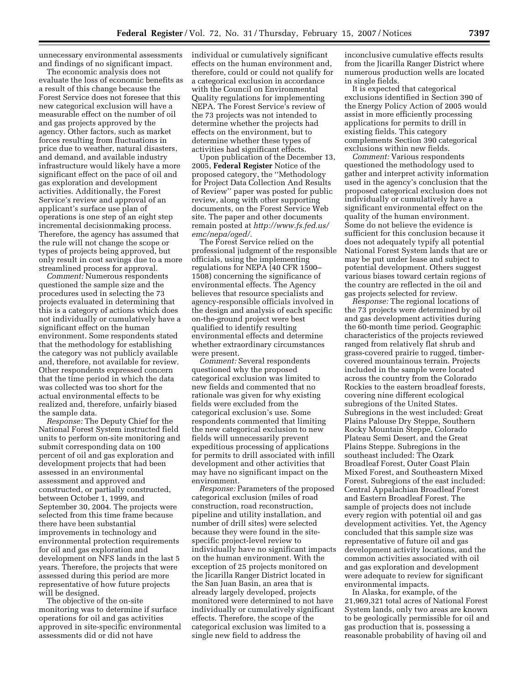unnecessary environmental assessments and findings of no significant impact.

The economic analysis does not evaluate the loss of economic benefits as a result of this change because the Forest Service does not foresee that this new categorical exclusion will have a measurable effect on the number of oil and gas projects approved by the agency. Other factors, such as market forces resulting from fluctuations in price due to weather, natural disasters, and demand, and available industry infrastructure would likely have a more significant effect on the pace of oil and gas exploration and development activities. Additionally, the Forest Service's review and approval of an applicant's surface use plan of operations is one step of an eight step incremental decisionmaking process. Therefore, the agency has assumed that the rule will not change the scope or types of projects being approved, but only result in cost savings due to a more streamlined process for approval.

*Comment:* Numerous respondents questioned the sample size and the procedures used in selecting the 73 projects evaluated in determining that this is a category of actions which does not individually or cumulatively have a significant effect on the human environment. Some respondents stated that the methodology for establishing the category was not publicly available and, therefore, not available for review. Other respondents expressed concern that the time period in which the data was collected was too short for the actual environmental effects to be realized and, therefore, unfairly biased the sample data.

*Response:* The Deputy Chief for the National Forest System instructed field units to perform on-site monitoring and submit corresponding data on 100 percent of oil and gas exploration and development projects that had been assessed in an environmental assessment and approved and constructed, or partially constructed, between October 1, 1999, and September 30, 2004. The projects were selected from this time frame because there have been substantial improvements in technology and environmental protection requirements for oil and gas exploration and development on NFS lands in the last 5 years. Therefore, the projects that were assessed during this period are more representative of how future projects will be designed.

The objective of the on-site monitoring was to determine if surface operations for oil and gas activities approved in site-specific environmental assessments did or did not have

individual or cumulatively significant effects on the human environment and, therefore, could or could not qualify for a categorical exclusion in accordance with the Council on Environmental Quality regulations for implementing NEPA. The Forest Service's review of the 73 projects was not intended to determine whether the projects had effects on the environment, but to determine whether these types of activities had significant effects.

Upon publication of the December 13, 2005, **Federal Register** Notice of the proposed category, the ''Methodology for Project Data Collection And Results of Review'' paper was posted for public review, along with other supporting documents, on the Forest Service Web site. The paper and other documents remain posted at *http://www.fs.fed.us/ emc/nepa/oged/*.

The Forest Service relied on the professional judgment of the responsible officials, using the implementing regulations for NEPA (40 CFR 1500– 1508) concerning the significance of environmental effects. The Agency believes that resource specialists and agency-responsible officials involved in the design and analysis of each specific on-the-ground project were best qualified to identify resulting environmental effects and determine whether extraordinary circumstances were present.

*Comment:* Several respondents questioned why the proposed categorical exclusion was limited to new fields and commented that no rationale was given for why existing fields were excluded from the categorical exclusion's use. Some respondents commented that limiting the new categorical exclusion to new fields will unnecessarily prevent expeditious processing of applications for permits to drill associated with infill development and other activities that may have no significant impact on the environment.

*Response:* Parameters of the proposed categorical exclusion (miles of road construction, road reconstruction, pipeline and utility installation, and number of drill sites) were selected because they were found in the sitespecific project-level review to individually have no significant impacts on the human environment. With the exception of 25 projects monitored on the Jicarilla Ranger District located in the San Juan Basin, an area that is already largely developed, projects monitored were determined to not have individually or cumulatively significant effects. Therefore, the scope of the categorical exclusion was limited to a single new field to address the

inconclusive cumulative effects results from the Jicarilla Ranger District where numerous production wells are located in single fields.

It is expected that categorical exclusions identified in Section 390 of the Energy Policy Action of 2005 would assist in more efficiently processing applications for permits to drill in existing fields. This category complements Section 390 categorical exclusions within new fields.

*Comment:* Various respondents questioned the methodology used to gather and interpret activity information used in the agency's conclusion that the proposed categorical exclusion does not individually or cumulatively have a significant environmental effect on the quality of the human environment. Some do not believe the evidence is sufficient for this conclusion because it does not adequately typify all potential National Forest System lands that are or may be put under lease and subject to potential development. Others suggest various biases toward certain regions of the country are reflected in the oil and gas projects selected for review.

*Response:* The regional locations of the 73 projects were determined by oil and gas development activities during the 60-month time period. Geographic characteristics of the projects reviewed ranged from relatively flat shrub and grass-covered prairie to rugged, timbercovered mountainous terrain. Projects included in the sample were located across the country from the Colorado Rockies to the eastern broadleaf forests, covering nine different ecological subregions of the United States. Subregions in the west included: Great Plains Palouse Dry Steppe, Southern Rocky Mountain Steppe, Colorado Plateau Semi Desert, and the Great Plains Steppe. Subregions in the southeast included: The Ozark Broadleaf Forest, Outer Coast Plain Mixed Forest, and Southeastern Mixed Forest. Subregions of the east included: Central Appalachian Broadleaf Forest and Eastern Broadleaf Forest. The sample of projects does not include every region with potential oil and gas development activities. Yet, the Agency concluded that this sample size was representative of future oil and gas development activity locations, and the common activities associated with oil and gas exploration and development were adequate to review for significant environmental impacts.

In Alaska, for example, of the 21,969,321 total acres of National Forest System lands, only two areas are known to be geologically permissible for oil and gas production that is, possessing a reasonable probability of having oil and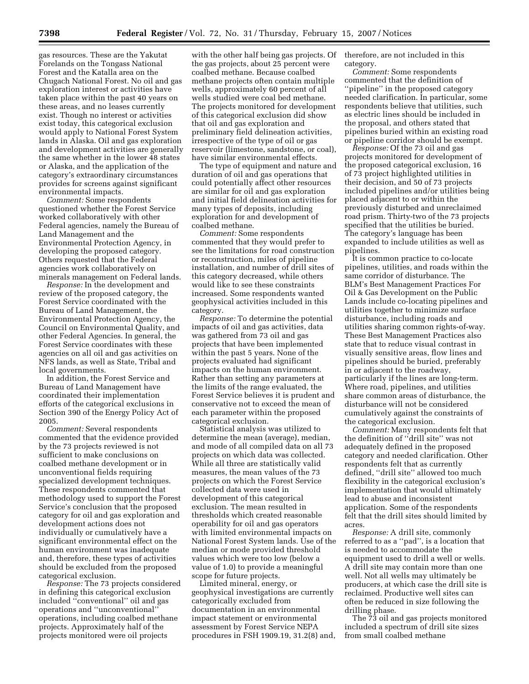gas resources. These are the Yakutat Forelands on the Tongass National Forest and the Katalla area on the Chugach National Forest. No oil and gas exploration interest or activities have taken place within the past 40 years on these areas, and no leases currently exist. Though no interest or activities exist today, this categorical exclusion would apply to National Forest System lands in Alaska. Oil and gas exploration and development activities are generally the same whether in the lower 48 states or Alaska, and the application of the category's extraordinary circumstances provides for screens against significant environmental impacts.

*Comment:* Some respondents questioned whether the Forest Service worked collaboratively with other Federal agencies, namely the Bureau of Land Management and the Environmental Protection Agency, in developing the proposed category. Others requested that the Federal agencies work collaboratively on minerals management on Federal lands.

*Response:* In the development and review of the proposed category, the Forest Service coordinated with the Bureau of Land Management, the Environmental Protection Agency, the Council on Environmental Quality, and other Federal Agencies. In general, the Forest Service coordinates with these agencies on all oil and gas activities on NFS lands, as well as State, Tribal and local governments.

In addition, the Forest Service and Bureau of Land Management have coordinated their implementation efforts of the categorical exclusions in Section 390 of the Energy Policy Act of 2005.

*Comment:* Several respondents commented that the evidence provided by the 73 projects reviewed is not sufficient to make conclusions on coalbed methane development or in unconventional fields requiring specialized development techniques. These respondents commented that methodology used to support the Forest Service's conclusion that the proposed category for oil and gas exploration and development actions does not individually or cumulatively have a significant environmental effect on the human environment was inadequate and, therefore, these types of activities should be excluded from the proposed categorical exclusion.

*Response:* The 73 projects considered in defining this categorical exclusion included ''conventional'' oil and gas operations and ''unconventional'' operations, including coalbed methane projects. Approximately half of the projects monitored were oil projects

with the other half being gas projects. Of the gas projects, about 25 percent were coalbed methane. Because coalbed methane projects often contain multiple wells, approximately 60 percent of all wells studied were coal bed methane. The projects monitored for development of this categorical exclusion did show that oil and gas exploration and preliminary field delineation activities, irrespective of the type of oil or gas reservoir (limestone, sandstone, or coal), have similar environmental effects.

The type of equipment and nature and duration of oil and gas operations that could potentially affect other resources are similar for oil and gas exploration and initial field delineation activities for many types of deposits, including exploration for and development of coalbed methane.

*Comment:* Some respondents commented that they would prefer to see the limitations for road construction or reconstruction, miles of pipeline installation, and number of drill sites of this category decreased, while others would like to see these constraints increased. Some respondents wanted geophysical activities included in this category.

*Response:* To determine the potential impacts of oil and gas activities, data was gathered from 73 oil and gas projects that have been implemented within the past 5 years. None of the projects evaluated had significant impacts on the human environment. Rather than setting any parameters at the limits of the range evaluated, the Forest Service believes it is prudent and conservative not to exceed the mean of each parameter within the proposed categorical exclusion.

Statistical analysis was utilized to determine the mean (average), median, and mode of all compiled data on all 73 projects on which data was collected. While all three are statistically valid measures, the mean values of the 73 projects on which the Forest Service collected data were used in development of this categorical exclusion. The mean resulted in thresholds which created reasonable operability for oil and gas operators with limited environmental impacts on National Forest System lands. Use of the median or mode provided threshold values which were too low (below a value of 1.0) to provide a meaningful scope for future projects.

Limited mineral, energy, or geophysical investigations are currently categorically excluded from documentation in an environmental impact statement or environmental assessment by Forest Service NEPA procedures in FSH 1909.19, 31.2(8) and, therefore, are not included in this category.

*Comment:* Some respondents commented that the definition of ''pipeline'' in the proposed category needed clarification. In particular, some respondents believe that utilities, such as electric lines should be included in the proposal, and others stated that pipelines buried within an existing road or pipeline corridor should be exempt.

*Response:* Of the 73 oil and gas projects monitored for development of the proposed categorical exclusion, 16 of 73 project highlighted utilities in their decision, and 50 of 73 projects included pipelines and/or utilities being placed adjacent to or within the previously disturbed and unreclaimed road prism. Thirty-two of the 73 projects specified that the utilities be buried. The category's language has been expanded to include utilities as well as pipelines.

It is common practice to co-locate pipelines, utilities, and roads within the same corridor of disturbance. The BLM's Best Management Practices For Oil & Gas Development on the Public Lands include co-locating pipelines and utilities together to minimize surface disturbance, including roads and utilities sharing common rights-of-way. These Best Management Practices also state that to reduce visual contrast in visually sensitive areas, flow lines and pipelines should be buried, preferably in or adjacent to the roadway, particularly if the lines are long-term. Where road, pipelines, and utilities share common areas of disturbance, the disturbance will not be considered cumulatively against the constraints of the categorical exclusion.

*Comment:* Many respondents felt that the definition of ''drill site'' was not adequately defined in the proposed category and needed clarification. Other respondents felt that as currently defined, ''drill site'' allowed too much flexibility in the categorical exclusion's implementation that would ultimately lead to abuse and inconsistent application. Some of the respondents felt that the drill sites should limited by acres.

*Response:* A drill site, commonly referred to as a ''pad'', is a location that is needed to accommodate the equipment used to drill a well or wells. A drill site may contain more than one well. Not all wells may ultimately be producers, at which case the drill site is reclaimed. Productive well sites can often be reduced in size following the drilling phase.

The 73 oil and gas projects monitored included a spectrum of drill site sizes from small coalbed methane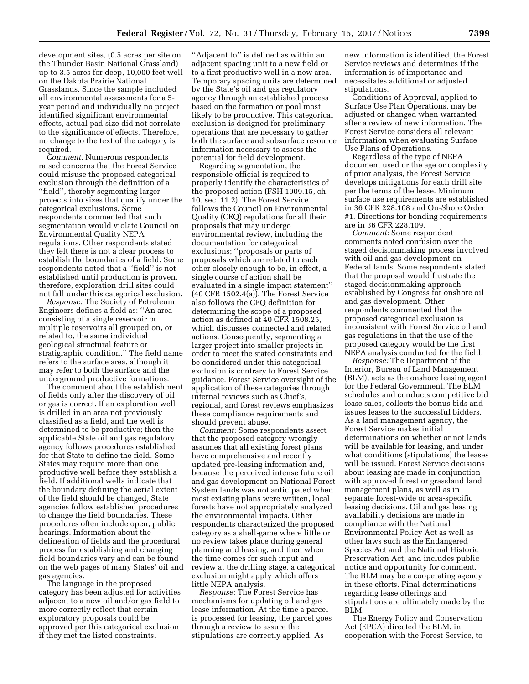development sites, (0.5 acres per site on the Thunder Basin National Grassland) up to 3.5 acres for deep, 10,000 feet well on the Dakota Prairie National Grasslands. Since the sample included all environmental assessments for a 5 year period and individually no project identified significant environmental effects, actual pad size did not correlate to the significance of effects. Therefore, no change to the text of the category is required.

*Comment:* Numerous respondents raised concerns that the Forest Service could misuse the proposed categorical exclusion through the definition of a ''field'', thereby segmenting larger projects into sizes that qualify under the categorical exclusions. Some respondents commented that such segmentation would violate Council on Environmental Quality NEPA regulations. Other respondents stated they felt there is not a clear process to establish the boundaries of a field. Some respondents noted that a ''field'' is not established until production is proven, therefore, exploration drill sites could not fall under this categorical exclusion.

*Response:* The Society of Petroleum Engineers defines a field as: ''An area consisting of a single reservoir or multiple reservoirs all grouped on, or related to, the same individual geological structural feature or stratigraphic condition.'' The field name refers to the surface area, although it may refer to both the surface and the underground productive formations.

The comment about the establishment of fields only after the discovery of oil or gas is correct. If an exploration well is drilled in an area not previously classified as a field, and the well is determined to be productive; then the applicable State oil and gas regulatory agency follows procedures established for that State to define the field. Some States may require more than one productive well before they establish a field. If additional wells indicate that the boundary defining the aerial extent of the field should be changed, State agencies follow established procedures to change the field boundaries. These procedures often include open, public hearings. Information about the delineation of fields and the procedural process for establishing and changing field boundaries vary and can be found on the web pages of many States' oil and gas agencies.

The language in the proposed category has been adjusted for activities adjacent to a new oil and/or gas field to more correctly reflect that certain exploratory proposals could be approved per this categorical exclusion if they met the listed constraints.

''Adjacent to'' is defined as within an adjacent spacing unit to a new field or to a first productive well in a new area. Temporary spacing units are determined by the State's oil and gas regulatory agency through an established process based on the formation or pool most likely to be productive. This categorical exclusion is designed for preliminary operations that are necessary to gather both the surface and subsurface resource information necessary to assess the potential for field development.

Regarding segmentation, the responsible official is required to properly identify the characteristics of the proposed action (FSH 1909.15, ch. 10, sec. 11.2). The Forest Service follows the Council on Environmental Quality (CEQ) regulations for all their proposals that may undergo environmental review, including the documentation for categorical exclusions; ''proposals or parts of proposals which are related to each other closely enough to be, in effect, a single course of action shall be evaluated in a single impact statement''  $(40 \text{ CFR } 1502.4(a))$ . The Forest Service also follows the CEQ definition for determining the scope of a proposed action as defined at 40 CFR 1508.25, which discusses connected and related actions. Consequently, segmenting a larger project into smaller projects in order to meet the stated constraints and be considered under this categorical exclusion is contrary to Forest Service guidance. Forest Service oversight of the application of these categories through internal reviews such as Chief's, regional, and forest reviews emphasizes these compliance requirements and should prevent abuse.

*Comment:* Some respondents assert that the proposed category wrongly assumes that all existing forest plans have comprehensive and recently updated pre-leasing information and, because the perceived intense future oil and gas development on National Forest System lands was not anticipated when most existing plans were written, local forests have not appropriately analyzed the environmental impacts. Other respondents characterized the proposed category as a shell-game where little or no review takes place during general planning and leasing, and then when the time comes for such input and review at the drilling stage, a categorical exclusion might apply which offers little NEPA analysis.

*Response:* The Forest Service has mechanisms for updating oil and gas lease information. At the time a parcel is processed for leasing, the parcel goes through a review to assure the stipulations are correctly applied. As

new information is identified, the Forest Service reviews and determines if the information is of importance and necessitates additional or adjusted stipulations.

Conditions of Approval, applied to Surface Use Plan Operations, may be adjusted or changed when warranted after a review of new information. The Forest Service considers all relevant information when evaluating Surface Use Plans of Operations.

Regardless of the type of NEPA document used or the age or complexity of prior analysis, the Forest Service develops mitigations for each drill site per the terms of the lease. Minimum surface use requirements are established in 36 CFR 228.108 and On-Shore Order #1. Directions for bonding requirements are in 36 CFR 228.109.

*Comment:* Some respondent comments noted confusion over the staged decisionmaking process involved with oil and gas development on Federal lands. Some respondents stated that the proposal would frustrate the staged decisionmaking approach established by Congress for onshore oil and gas development. Other respondents commented that the proposed categorical exclusion is inconsistent with Forest Service oil and gas regulations in that the use of the proposed category would be the first NEPA analysis conducted for the field.

*Response:* The Department of the Interior, Bureau of Land Management (BLM), acts as the onshore leasing agent for the Federal Government. The BLM schedules and conducts competitive bid lease sales, collects the bonus bids and issues leases to the successful bidders. As a land management agency, the Forest Service makes initial determinations on whether or not lands will be available for leasing, and under what conditions (stipulations) the leases will be issued. Forest Service decisions about leasing are made in conjunction with approved forest or grassland land management plans, as well as in separate forest-wide or area-specific leasing decisions. Oil and gas leasing availability decisions are made in compliance with the National Environmental Policy Act as well as other laws such as the Endangered Species Act and the National Historic Preservation Act, and includes public notice and opportunity for comment. The BLM may be a cooperating agency in these efforts. Final determinations regarding lease offerings and stipulations are ultimately made by the BLM.

The Energy Policy and Conservation Act (EPCA) directed the BLM, in cooperation with the Forest Service, to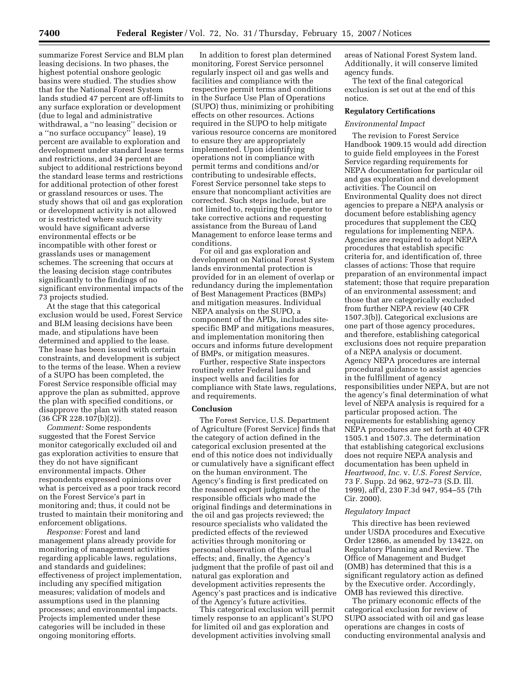summarize Forest Service and BLM plan leasing decisions. In two phases, the highest potential onshore geologic basins were studied. The studies show that for the National Forest System lands studied 47 percent are off-limits to any surface exploration or development (due to legal and administrative withdrawal, a ''no leasing'' decision or a ''no surface occupancy'' lease), 19 percent are available to exploration and development under standard lease terms and restrictions, and 34 percent are subject to additional restrictions beyond the standard lease terms and restrictions for additional protection of other forest or grassland resources or uses. The study shows that oil and gas exploration or development activity is not allowed or is restricted where such activity would have significant adverse environmental effects or be incompatible with other forest or grasslands uses or management schemes. The screening that occurs at the leasing decision stage contributes significantly to the findings of no significant environmental impacts of the 73 projects studied.

At the stage that this categorical exclusion would be used, Forest Service and BLM leasing decisions have been made, and stipulations have been determined and applied to the lease. The lease has been issued with certain constraints, and development is subject to the terms of the lease. When a review of a SUPO has been completed, the Forest Service responsible official may approve the plan as submitted, approve the plan with specified conditions, or disapprove the plan with stated reason (36 CFR 228.107(b)(2)).

*Comment:* Some respondents suggested that the Forest Service monitor categorically excluded oil and gas exploration activities to ensure that they do not have significant environmental impacts. Other respondents expressed opinions over what is perceived as a poor track record on the Forest Service's part in monitoring and; thus, it could not be trusted to maintain their monitoring and enforcement obligations.

*Response:* Forest and land management plans already provide for monitoring of management activities regarding applicable laws, regulations, and standards and guidelines; effectiveness of project implementation, including any specified mitigation measures; validation of models and assumptions used in the planning processes; and environmental impacts. Projects implemented under these categories will be included in these ongoing monitoring efforts.

In addition to forest plan determined monitoring, Forest Service personnel regularly inspect oil and gas wells and facilities and compliance with the respective permit terms and conditions in the Surface Use Plan of Operations (SUPO) thus, minimizing or prohibiting effects on other resources. Actions required in the SUPO to help mitigate various resource concerns are monitored to ensure they are appropriately implemented. Upon identifying operations not in compliance with permit terms and conditions and/or contributing to undesirable effects, Forest Service personnel take steps to ensure that noncompliant activities are corrected. Such steps include, but are not limited to, requiring the operator to take corrective actions and requesting assistance from the Bureau of Land Management to enforce lease terms and conditions.

For oil and gas exploration and development on National Forest System lands environmental protection is provided for in an element of overlap or redundancy during the implementation of Best Management Practices (BMPs) and mitigation measures. Individual NEPA analysis on the SUPO, a component of the APDs, includes sitespecific BMP and mitigations measures, and implementation monitoring then occurs and informs future development of BMPs, or mitigation measures.

Further, respective State inspectors routinely enter Federal lands and inspect wells and facilities for compliance with State laws, regulations, and requirements.

### **Conclusion**

The Forest Service, U.S. Department of Agriculture (Forest Service) finds that the category of action defined in the categorical exclusion presented at the end of this notice does not individually or cumulatively have a significant effect on the human environment. The Agency's finding is first predicated on the reasoned expert judgment of the responsible officials who made the original findings and determinations in the oil and gas projects reviewed; the resource specialists who validated the predicted effects of the reviewed activities through monitoring or personal observation of the actual effects; and, finally, the Agency's judgment that the profile of past oil and natural gas exploration and development activities represents the Agency's past practices and is indicative of the Agency's future activities.

This categorical exclusion will permit timely response to an applicant's SUPO for limited oil and gas exploration and development activities involving small

areas of National Forest System land. Additionally, it will conserve limited agency funds.

The text of the final categorical exclusion is set out at the end of this notice.

# **Regulatory Certifications**

#### *Environmental Impact*

The revision to Forest Service Handbook 1909.15 would add direction to guide field employees in the Forest Service regarding requirements for NEPA documentation for particular oil and gas exploration and development activities. The Council on Environmental Quality does not direct agencies to prepare a NEPA analysis or document before establishing agency procedures that supplement the CEQ regulations for implementing NEPA. Agencies are required to adopt NEPA procedures that establish specific criteria for, and identification of, three classes of actions: Those that require preparation of an environmental impact statement; those that require preparation of an environmental assessment; and those that are categorically excluded from further NEPA review (40 CFR 1507.3(b)). Categorical exclusions are one part of those agency procedures, and therefore, establishing categorical exclusions does not require preparation of a NEPA analysis or document. Agency NEPA procedures are internal procedural guidance to assist agencies in the fulfillment of agency responsibilities under NEPA, but are not the agency's final determination of what level of NEPA analysis is required for a particular proposed action. The requirements for establishing agency NEPA procedures are set forth at 40 CFR 1505.1 and 1507.3. The determination that establishing categorical exclusions does not require NEPA analysis and documentation has been upheld in *Heartwood, Inc*. v. *U.S. Forest Service*, 73 F. Supp. 2d 962, 972–73 (S.D. Ill. 1999), aff'd, 230 F.3d 947, 954–55 (7th Cir. 2000).

### *Regulatory Impact*

This directive has been reviewed under USDA procedures and Executive Order 12866, as amended by 13422, on Regulatory Planning and Review. The Office of Management and Budget (OMB) has determined that this is a significant regulatory action as defined by the Executive order. Accordingly, OMB has reviewed this directive.

The primary economic effects of the categorical exclusion for review of SUPO associated with oil and gas lease operations are changes in costs of conducting environmental analysis and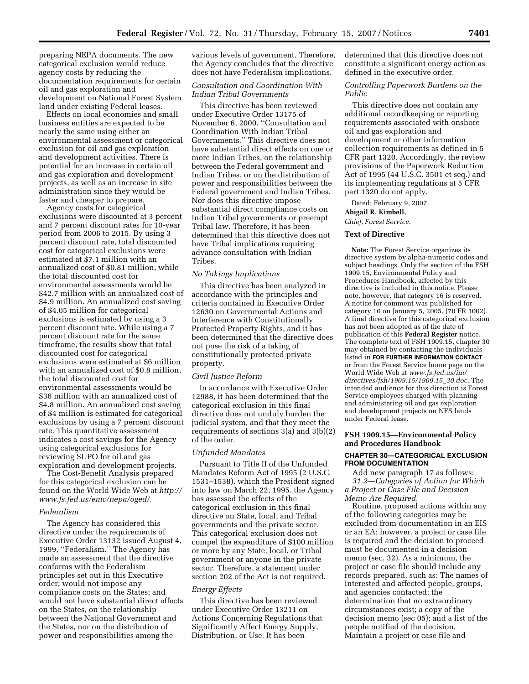preparing NEPA documents. The new categorical exclusion would reduce agency costs by reducing the documentation requirements for certain oil and gas exploration and development on National Forest System land under existing Federal leases.

Effects on local economies and small business entities are expected to be nearly the same using either an environmental assessment or categorical exclusion for oil and gas exploration and development activities. There is potential for an increase in certain oil and gas exploration and development projects, as well as an increase in site administration since they would be faster and cheaper to prepare.

Agency costs for categorical exclusions were discounted at 3 percent and 7 percent discount rates for 10-year period from 2006 to 2015. By using 3 percent discount rate, total discounted cost for categorical exclusions were estimated at \$7.1 million with an annualized cost of \$0.81 million, while the total discounted cost for environmental assessments would be \$42.7 million with an annualized cost of \$4.9 million. An annualized cost saving of \$4.05 million for categorical exclusions is estimated by using a 3 percent discount rate. While using a 7 percent discount rate for the same timeframe, the results show that total discounted cost for categorical exclusions were estimated at \$6 million with an annualized cost of \$0.8 million, the total discounted cost for environmental assessments would be \$36 million with an annualized cost of \$4.8 million. An annualized cost saving of \$4 million is estimated for categorical exclusions by using a 7 percent discount rate. This quantitative assessment indicates a cost savings for the Agency using categorical exclusions for reviewing SUPO for oil and gas exploration and development projects.

The Cost-Benefit Analysis prepared for this categorical exclusion can be found on the World Wide Web at *http:// www.fs.fed.us/emc/nepa/oged/*.

#### *Federalism*

The Agency has considered this directive under the requirements of Executive Order 13132 issued August 4, 1999, ''Federalism.'' The Agency has made an assessment that the directive conforms with the Federalism principles set out in this Executive order; would not impose any compliance costs on the States; and would not have substantial direct effects on the States, on the relationship between the National Government and the States, nor on the distribution of power and responsibilities among the

various levels of government. Therefore, the Agency concludes that the directive does not have Federalism implications.

## *Consultation and Coordination With Indian Tribal Governments*

This directive has been reviewed under Executive Order 13175 of November 6, 2000, ''Consultation and Coordination With Indian Tribal Governments.'' This directive does not have substantial direct effects on one or more Indian Tribes, on the relationship between the Federal government and Indian Tribes, or on the distribution of power and responsibilities between the Federal government and Indian Tribes. Nor does this directive impose substantial direct compliance costs on Indian Tribal governments or preempt Tribal law. Therefore, it has been determined that this directive does not have Tribal implications requiring advance consultation with Indian Tribes.

## *No Takings Implications*

This directive has been analyzed in accordance with the principles and criteria contained in Executive Order 12630 on Governmental Actions and Interference with Constitutionally Protected Property Rights, and it has been determined that the directive does not pose the risk of a taking of constitutionally protected private property.

### *Civil Justice Reform*

In accordance with Executive Order 12988, it has been determined that the categorical exclusion in this final directive does not unduly burden the judicial system, and that they meet the requirements of sections 3(a) and 3(b)(2) of the order.

#### *Unfunded Mandates*

Pursuant to Title II of the Unfunded Mandates Reform Act of 1995 (2 U.S.C. 1531–1538), which the President signed into law on March 22, 1995, the Agency has assessed the effects of the categorical exclusion in this final directive on State, local, and Tribal governments and the private sector. This categorical exclusion does not compel the expenditure of \$100 million or more by any State, local, or Tribal government or anyone in the private sector. Therefore, a statement under section 202 of the Act is not required.

#### *Energy Effects*

This directive has been reviewed under Executive Order 13211 on Actions Concerning Regulations that Significantly Affect Energy Supply, Distribution, or Use. It has been

determined that this directive does not constitute a significant energy action as defined in the executive order.

## *Controlling Paperwork Burdens on the Public*

This directive does not contain any additional recordkeeping or reporting requirements associated with onshore oil and gas exploration and development or other information collection requirements as defined in 5 CFR part 1320. Accordingly, the review provisions of the Paperwork Reduction Act of 1995 (44 U.S.C. 3501 et seq.) and its implementing regulations at 5 CFR part 1320 do not apply.

Dated: February 9, 2007.

## **Abigail R. Kimbell,**

*Chief, Forest Service.* 

### **Text of Directive**

**Note:** The Forest Service organizes its directive system by alpha-numeric codes and subject headings. Only the section of the FSH 1909.15, Environmental Policy and Procedures Handbook, affected by this directive is included in this notice. Please note, however, that category 16 is reserved. A notice for comment was published for category 16 on January 5, 2005, (70 FR 1062). A final directive for this categorical exclusion has not been adopted as of the date of publication of this **Federal Register** notice. The complete text of FSH 1909.15, chapter 30 may obtained by contacting the individuals listed in **FOR FURTHER INFORMATION CONTACT** or from the Forest Service home page on the World Wide Web at *www.fs.fed.us/im/ directives/fsh/1909.15/1909.15*\_*30.doc*. The intended audience for this direction is Forest Service employees charged with planning and administering oil and gas exploration and development projects on NFS lands under Federal lease.

## **FSH 1909.15—Environmental Policy and Procedures Handbook**

## **CHAPTER 30—CATEGORICAL EXCLUSION FROM DOCUMENTATION**

Add new paragraph 17 as follows: *31.2*—*Categories of Action for Which a Project or Case File and Decision Memo Are Required*.

Routine, proposed actions within any of the following categories may be excluded from documentation in an EIS or an EA; however, a project or case file is required and the decision to proceed must be documented in a decision memo (sec. 32). As a minimum, the project or case file should include any records prepared, such as: The names of interested and affected people, groups, and agencies contacted; the determination that no extraordinary circumstances exist; a copy of the decision memo (sec 05); and a list of the people notified of the decision. Maintain a project or case file and